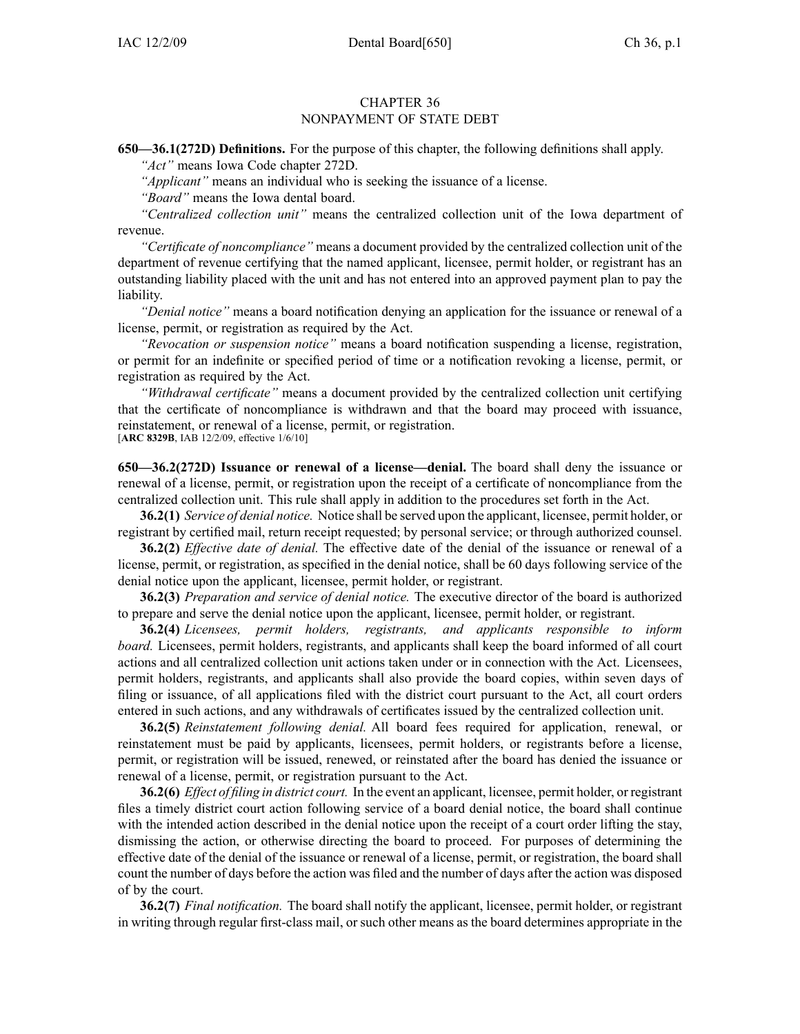## CHAPTER 36 NONPAYMENT OF STATE DEBT

**650—36.1(272D) Definitions.** For the purpose of this chapter, the following definitions shall apply.

*"Act"* means Iowa Code chapter 272D.

*"Applicant"* means an individual who is seeking the issuance of <sup>a</sup> license.

*"Board"* means the Iowa dental board.

*"Centralized collection unit"* means the centralized collection unit of the Iowa department of revenue.

*"Certificate of noncompliance"* means <sup>a</sup> document provided by the centralized collection unit of the department of revenue certifying that the named applicant, licensee, permit holder, or registrant has an outstanding liability placed with the unit and has not entered into an approved paymen<sup>t</sup> plan to pay the liability.

*"Denial notice"* means <sup>a</sup> board notification denying an application for the issuance or renewal of <sup>a</sup> license, permit, or registration as required by the Act.

*"Revocation or suspension notice"* means <sup>a</sup> board notification suspending <sup>a</sup> license, registration, or permit for an indefinite or specified period of time or <sup>a</sup> notification revoking <sup>a</sup> license, permit, or registration as required by the Act.

*"Withdrawal certificate"* means <sup>a</sup> document provided by the centralized collection unit certifying that the certificate of noncompliance is withdrawn and that the board may proceed with issuance, reinstatement, or renewal of <sup>a</sup> license, permit, or registration.

[**ARC 8329B**, IAB 12/2/09, effective 1/6/10]

**650—36.2(272D) Issuance or renewal of <sup>a</sup> license—denial.** The board shall deny the issuance or renewal of <sup>a</sup> license, permit, or registration upon the receipt of <sup>a</sup> certificate of noncompliance from the centralized collection unit. This rule shall apply in addition to the procedures set forth in the Act.

**36.2(1)** *Service of denial notice.* Notice shall be served upon the applicant, licensee, permit holder, or registrant by certified mail, return receipt requested; by personal service; or through authorized counsel.

**36.2(2)** *Effective date of denial.* The effective date of the denial of the issuance or renewal of <sup>a</sup> license, permit, or registration, as specified in the denial notice, shall be 60 days following service of the denial notice upon the applicant, licensee, permit holder, or registrant.

**36.2(3)** *Preparation and service of denial notice.* The executive director of the board is authorized to prepare and serve the denial notice upon the applicant, licensee, permit holder, or registrant.

**36.2(4)** *Licensees, permit holders, registrants, and applicants responsible to inform board.* Licensees, permit holders, registrants, and applicants shall keep the board informed of all court actions and all centralized collection unit actions taken under or in connection with the Act. Licensees, permit holders, registrants, and applicants shall also provide the board copies, within seven days of filing or issuance, of all applications filed with the district court pursuan<sup>t</sup> to the Act, all court orders entered in such actions, and any withdrawals of certificates issued by the centralized collection unit.

**36.2(5)** *Reinstatement following denial.* All board fees required for application, renewal, or reinstatement must be paid by applicants, licensees, permit holders, or registrants before <sup>a</sup> license, permit, or registration will be issued, renewed, or reinstated after the board has denied the issuance or renewal of <sup>a</sup> license, permit, or registration pursuan<sup>t</sup> to the Act.

**36.2(6)** *Effect of filing in district court.* In the event an applicant, licensee, permit holder, or registrant files <sup>a</sup> timely district court action following service of <sup>a</sup> board denial notice, the board shall continue with the intended action described in the denial notice upon the receipt of <sup>a</sup> court order lifting the stay, dismissing the action, or otherwise directing the board to proceed. For purposes of determining the effective date of the denial of the issuance or renewal of <sup>a</sup> license, permit, or registration, the board shall count the number of days before the action was filed and the number of days after the action was disposed of by the court.

**36.2(7)** *Final notification.* The board shall notify the applicant, licensee, permit holder, or registrant in writing through regular first-class mail, or such other means as the board determines appropriate in the